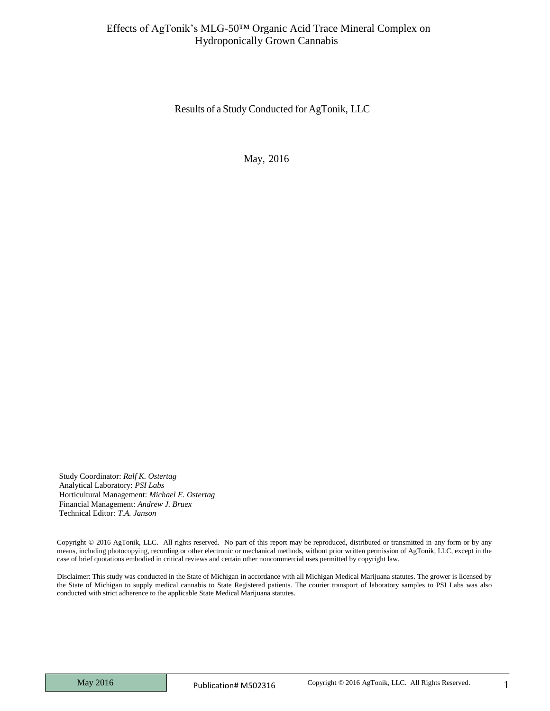Results of a Study Conducted for AgTonik, LLC

May, 2016

Study Coordinator: *Ralf K. Ostertag* Analytical Laboratory: *PSI Labs* Horticultural Management: *Michael E. Ostertag* Financial Management: *Andrew J. Bruex* Technical Editor*: T.A. Janson*

Copyright © 2016 AgTonik, LLC. All rights reserved. No part of this report may be reproduced, distributed or transmitted in any form or by any means, including photocopying, recording or other electronic or mechanical methods, without prior written permission of AgTonik, LLC, except in the case of brief quotations embodied in critical reviews and certain other noncommercial uses permitted by copyright law.

Disclaimer: This study was conducted in the State of Michigan in accordance with all Michigan Medical Marijuana statutes. The grower is licensed by the State of Michigan to supply medical cannabis to State Registered patients. The courier transport of laboratory samples to PSI Labs was also conducted with strict adherence to the applicable State Medical Marijuana statutes.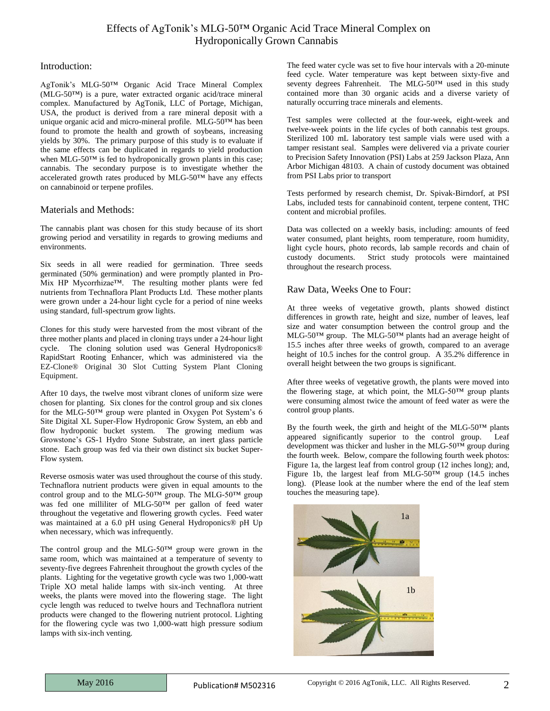#### Introduction:

AgTonik's MLG-50™ Organic Acid Trace Mineral Complex (MLG-50™) is a pure, water extracted organic acid/trace mineral complex. Manufactured by AgTonik, LLC of Portage, Michigan, USA, the product is derived from a rare mineral deposit with a unique organic acid and micro-mineral profile. MLG-50™ has been found to promote the health and growth of soybeans, increasing yields by 30%. The primary purpose of this study is to evaluate if the same effects can be duplicated in regards to yield production when MLG-50™ is fed to hydroponically grown plants in this case; cannabis. The secondary purpose is to investigate whether the accelerated growth rates produced by MLG-50™ have any effects on cannabinoid or terpene profiles.

#### Materials and Methods:

The cannabis plant was chosen for this study because of its short growing period and versatility in regards to growing mediums and environments.

Six seeds in all were readied for germination. Three seeds germinated (50% germination) and were promptly planted in Pro-Mix HP Mycorrhizae™. The resulting mother plants were fed nutrients from Technaflora Plant Products Ltd. These mother plants were grown under a 24-hour light cycle for a period of nine weeks using standard, full-spectrum grow lights.

Clones for this study were harvested from the most vibrant of the three mother plants and placed in cloning trays under a 24-hour light cycle. The cloning solution used was General Hydroponics® RapidStart Rooting Enhancer, which was administered via the EZ-Clone® Original 30 Slot Cutting System Plant Cloning Equipment.

After 10 days, the twelve most vibrant clones of uniform size were chosen for planting. Six clones for the control group and six clones for the MLG-50™ group were planted in Oxygen Pot System's 6 Site Digital XL Super-Flow Hydroponic Grow System, an ebb and flow hydroponic bucket system. The growing medium was Growstone's GS-1 Hydro Stone Substrate, an inert glass particle stone. Each group was fed via their own distinct six bucket Super-Flow system.

Reverse osmosis water was used throughout the course of this study. Technaflora nutrient products were given in equal amounts to the control group and to the MLG-50™ group. The MLG-50™ group was fed one milliliter of MLG-50™ per gallon of feed water throughout the vegetative and flowering growth cycles. Feed water was maintained at a 6.0 pH using General Hydroponics® pH Up when necessary, which was infrequently.

The control group and the MLG-50™ group were grown in the same room, which was maintained at a temperature of seventy to seventy-five degrees Fahrenheit throughout the growth cycles of the plants. Lighting for the vegetative growth cycle was two 1,000-watt Triple XO metal halide lamps with six-inch venting. At three weeks, the plants were moved into the flowering stage. The light cycle length was reduced to twelve hours and Technaflora nutrient products were changed to the flowering nutrient protocol. Lighting for the flowering cycle was two 1,000-watt high pressure sodium lamps with six-inch venting.

The feed water cycle was set to five hour intervals with a 20-minute feed cycle. Water temperature was kept between sixty-five and seventy degrees Fahrenheit. The MLG-50™ used in this study contained more than 30 organic acids and a diverse variety of naturally occurring trace minerals and elements.

Test samples were collected at the four-week, eight-week and twelve-week points in the life cycles of both cannabis test groups. Sterilized 100 mL laboratory test sample vials were used with a tamper resistant seal. Samples were delivered via a private courier to Precision Safety Innovation (PSI) Labs at 259 Jackson Plaza, Ann Arbor Michigan 48103. A chain of custody document was obtained from PSI Labs prior to transport

Tests performed by research chemist, Dr. Spivak-Birndorf, at PSI Labs, included tests for cannabinoid content, terpene content, THC content and microbial profiles.

Data was collected on a weekly basis, including: amounts of feed water consumed, plant heights, room temperature, room humidity, light cycle hours, photo records, lab sample records and chain of custody documents. Strict study protocols were maintained throughout the research process.

### Raw Data, Weeks One to Four:

At three weeks of vegetative growth, plants showed distinct differences in growth rate, height and size, number of leaves, leaf size and water consumption between the control group and the MLG-50™ group. The MLG-50™ plants had an average height of 15.5 inches after three weeks of growth, compared to an average height of 10.5 inches for the control group. A 35.2% difference in overall height between the two groups is significant.

After three weeks of vegetative growth, the plants were moved into the flowering stage, at which point, the MLG-50<sup>TM</sup> group plants were consuming almost twice the amount of feed water as were the control group plants.

By the fourth week, the girth and height of the MLG-50™ plants appeared significantly superior to the control group. Leaf development was thicker and lusher in the MLG-50™ group during the fourth week. Below, compare the following fourth week photos: Figure 1a, the largest leaf from control group (12 inches long); and, Figure 1b, the largest leaf from MLG-50™ group (14.5 inches long). (Please look at the number where the end of the leaf stem touches the measuring tape).

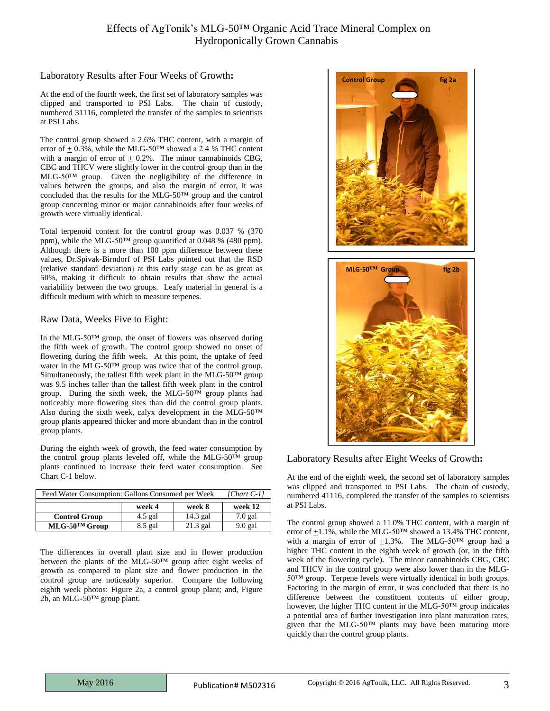### Laboratory Results after Four Weeks of Growth**:**

At the end of the fourth week, the first set of laboratory samples was clipped and transported to PSI Labs. The chain of custody, numbered 31116, completed the transfer of the samples to scientists at PSI Labs.

The control group showed a 2.6% THC content, with a margin of error of  $\pm$  0.3%, while the MLG-50<sup>TM</sup> showed a 2.4 % THC content with a margin of error of  $\pm$  0.2%. The minor cannabinoids CBG, CBC and THCV were slightly lower in the control group than in the MLG-50™ group. Given the negligibility of the difference in values between the groups, and also the margin of error, it was concluded that the results for the MLG-50™ group and the control group concerning minor or major cannabinoids after four weeks of growth were virtually identical.

Total terpenoid content for the control group was 0.037 % (370 ppm), while the MLG-50™ group quantified at 0.048 % (480 ppm). Although there is a more than 100 ppm difference between these values, Dr.Spivak-Birndorf of PSI Labs pointed out that the RSD (relative standard deviation) at this early stage can be as great as 50%, making it difficult to obtain results that show the actual variability between the two groups. Leafy material in general is a difficult medium with which to measure terpenes.

### Raw Data, Weeks Five to Eight:

In the MLG-50™ group, the onset of flowers was observed during the fifth week of growth. The control group showed no onset of flowering during the fifth week. At this point, the uptake of feed water in the MLG-50™ group was twice that of the control group. Simultaneously, the tallest fifth week plant in the MLG-50™ group was 9.5 inches taller than the tallest fifth week plant in the control group. During the sixth week, the MLG-50™ group plants had noticeably more flowering sites than did the control group plants. Also during the sixth week, calyx development in the MLG-50™ group plants appeared thicker and more abundant than in the control group plants.

During the eighth week of growth, the feed water consumption by the control group plants leveled off, while the MLG-50™ group plants continued to increase their feed water consumption. See Chart C-1 below.

| Feed Water Consumption: Gallons Consumed per Week |           |            | [ $Chart$ $C-1$ ] |
|---------------------------------------------------|-----------|------------|-------------------|
|                                                   |           |            |                   |
|                                                   | week 4    | week 8     | week 12           |
| <b>Control Group</b>                              | $4.5$ gal | $14.3$ gal | $7.0$ gal         |
| $MLG$ -50 <sup>TM</sup> Group                     | $8.5$ gal | $21.3$ gal | $9.0$ gal         |

The differences in overall plant size and in flower production between the plants of the MLG-50™ group after eight weeks of growth as compared to plant size and flower production in the control group are noticeably superior. Compare the following eighth week photos: Figure 2a, a control group plant; and, Figure 2b, an MLG-50™ group plant.



Laboratory Results after Eight Weeks of Growth**:**

At the end of the eighth week, the second set of laboratory samples was clipped and transported to PSI Labs. The chain of custody, numbered 41116, completed the transfer of the samples to scientists at PSI Labs.

The control group showed a 11.0% THC content, with a margin of error of  $\pm 1.1$ %, while the MLG-50<sup>TM</sup> showed a 13.4% THC content, with a margin of error of  $\pm 1.3$ %. The MLG-50<sup>TM</sup> group had a higher THC content in the eighth week of growth (or, in the fifth week of the flowering cycle). The minor cannabinoids CBG, CBC and THCV in the control group were also lower than in the MLG-50™ group. Terpene levels were virtually identical in both groups. Factoring in the margin of error, it was concluded that there is no difference between the constituent contents of either group, however, the higher THC content in the MLG-50™ group indicates a potential area of further investigation into plant maturation rates, given that the MLG-50™ plants may have been maturing more quickly than the control group plants.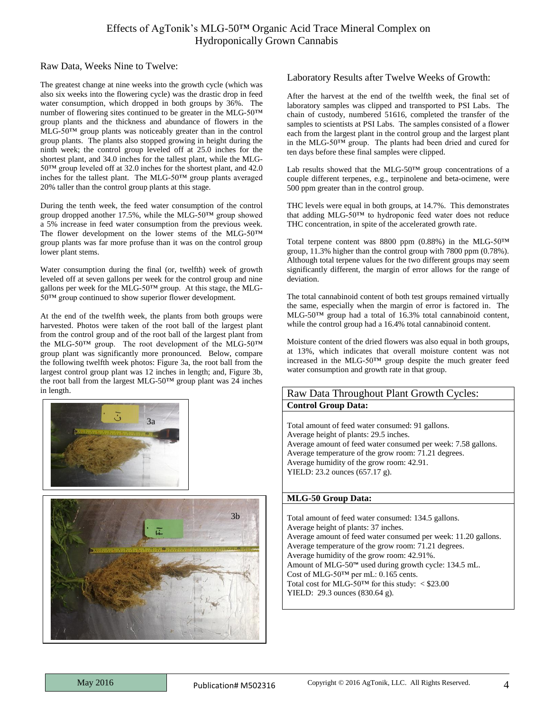### Raw Data, Weeks Nine to Twelve:

The greatest change at nine weeks into the growth cycle (which was also six weeks into the flowering cycle) was the drastic drop in feed water consumption, which dropped in both groups by 36%. The number of flowering sites continued to be greater in the MLG-50™ group plants and the thickness and abundance of flowers in the MLG-50™ group plants was noticeably greater than in the control group plants. The plants also stopped growing in height during the ninth week; the control group leveled off at 25.0 inches for the shortest plant, and 34.0 inches for the tallest plant, while the MLG-50™ group leveled off at 32.0 inches for the shortest plant, and 42.0 inches for the tallest plant. The MLG-50™ group plants averaged 20% taller than the control group plants at this stage.

During the tenth week, the feed water consumption of the control group dropped another 17.5%, while the MLG-50™ group showed a 5% increase in feed water consumption from the previous week. The flower development on the lower stems of the MLG-50™ group plants was far more profuse than it was on the control group lower plant stems.

Water consumption during the final (or, twelfth) week of growth leveled off at seven gallons per week for the control group and nine gallons per week for the MLG-50™ group. At this stage, the MLG-50™ group continued to show superior flower development.

At the end of the twelfth week, the plants from both groups were harvested. Photos were taken of the root ball of the largest plant from the control group and of the root ball of the largest plant from the MLG-50™ group. The root development of the MLG-50™ group plant was significantly more pronounced. Below, compare the following twelfth week photos: Figure 3a, the root ball from the largest control group plant was 12 inches in length; and, Figure 3b, the root ball from the largest MLG-50™ group plant was 24 inches in length.





### Laboratory Results after Twelve Weeks of Growth:

After the harvest at the end of the twelfth week, the final set of laboratory samples was clipped and transported to PSI Labs. The chain of custody, numbered 51616, completed the transfer of the samples to scientists at PSI Labs. The samples consisted of a flower each from the largest plant in the control group and the largest plant in the MLG-50™ group. The plants had been dried and cured for ten days before these final samples were clipped.

Lab results showed that the MLG-50™ group concentrations of a couple different terpenes, e.g., terpinolene and beta-ocimene, were 500 ppm greater than in the control group.

THC levels were equal in both groups, at 14.7%. This demonstrates that adding MLG-50™ to hydroponic feed water does not reduce THC concentration, in spite of the accelerated growth rate.

Total terpene content was 8800 ppm (0.88%) in the MLG-50™ group, 11.3% higher than the control group with 7800 ppm (0.78%). Although total terpene values for the two different groups may seem significantly different, the margin of error allows for the range of deviation.

The total cannabinoid content of both test groups remained virtually the same, especially when the margin of error is factored in. The MLG-50™ group had a total of 16.3% total cannabinoid content, while the control group had a 16.4% total cannabinoid content.

Moisture content of the dried flowers was also equal in both groups, at 13%, which indicates that overall moisture content was not increased in the MLG-50™ group despite the much greater feed water consumption and growth rate in that group.

### Raw Data Throughout Plant Growth Cycles: **Control Group Data:**

Total amount of feed water consumed: 91 gallons. Average height of plants: 29.5 inches. Average amount of feed water consumed per week: 7.58 gallons. Average temperature of the grow room: 71.21 degrees. Average humidity of the grow room: 42.91. YIELD: 23.2 ounces (657.17 g).

#### **MLG-50 Group Data:**

Total amount of feed water consumed: 134.5 gallons. Average height of plants: 37 inches. Average amount of feed water consumed per week: 11.20 gallons. Average temperature of the grow room: 71.21 degrees. Average humidity of the grow room: 42.91%. Amount of MLG-50™ used during growth cycle: 134.5 mL. Cost of MLG-50™ per mL: 0.165 cents. Total cost for MLG-50<sup>TM</sup> for this study:  $\langle $23.00 \rangle$ YIELD: 29.3 ounces (830.64 g).